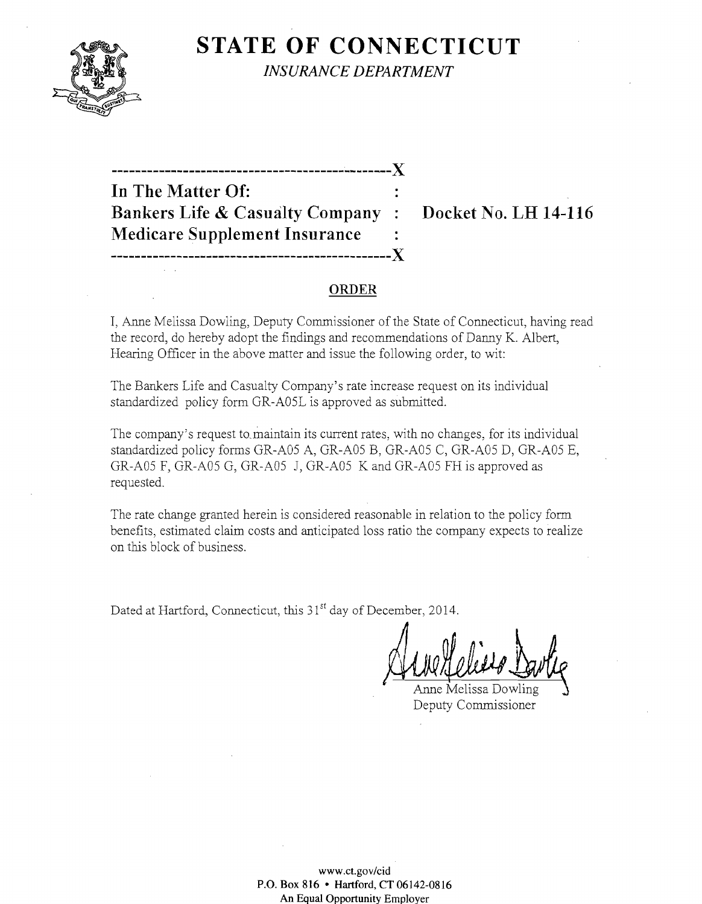

**STATE OF CONNECTICUT** *INSURANCE DEPARTMENT* 

---------------------------------------~-------){ **In The Matter Of: Bankers Life & Casualty Company: Docket No. LH 14-116 Medicare Supplement Insurance -----------------------------------------------){** 

#### **ORDER**

I, Anne Melissa Dowling, Deputy Commissioner of the State of Connecticut, having read the record, do hereby adopt the findings and recommendations of Danny K. Albert, Hearing Officer in the above matter and issue the following order, to wit:

The Bankers Life and Casualty Company's rate increase request on its individual standardized policy form GR-A05L is approved as submitted.

The company's request to.maintain its current rates, with no changes, for its individual standardized policy forms GR-A05 A, GR-A05 B, GR-A05 C, GR-A05 D, GR-A05 E, GR-A05 F, GR-A05 G, GR-A05 J, GR-A05 K and GR-A05 FH is approved as requested.

The rate change granted herein is considered reasonable in relation to the policy form benefits, estimated claim costs and anticipated loss ratio the company expects to realize on this block of business.

Dated at Hartford, Connecticut, this 31<sup>st</sup> day of December, 2014.

And Clear Darle

Deputy Commissioner

**www.ct.gov/cid**  P.O. **Box 816 • Hartford, CT 06142-0816** An Equal Opportunity Employer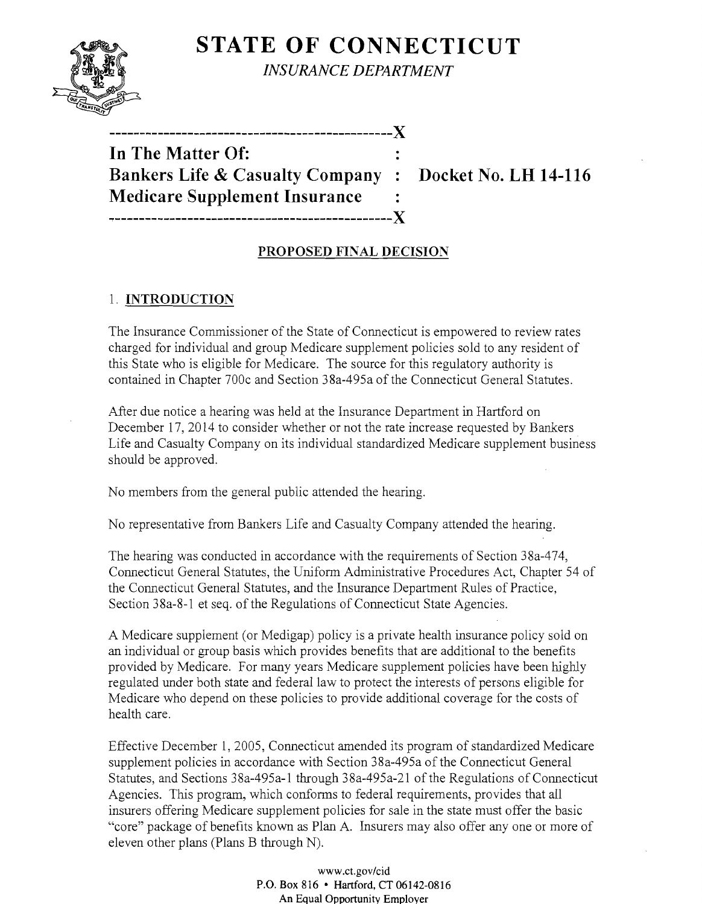STATE OF CONNECTICUT *INSURANCE DEPARTMENT* 

| In The Matter Of:                           |       |
|---------------------------------------------|-------|
| <b>Bankers Life &amp; Casualty Company:</b> |       |
| <b>Medicare Supplement Insurance</b>        |       |
|                                             | --- X |

-----------------------------------------------)(

 $B<sub>2</sub>$  Docket No. LH 14-116

# PROPOSED FINAL DECISION

# 1. INTRODUCTION

The Insurance Commissioner of the State of Connecticut is empowered to review rates charged for individual and group Medicare supplement policies sold to any resident of this State who is eligible for Medicare. The source for this regulatory authority is contained in Chapter 700c and Section 38a-495a of the Connecticut General Statutes.

After due notice a hearing was held at the Insurance Department in Hartford on December 17,2014 to consider whether or not the rate increase requested by Bankers Life and Casualty Company on its individual standardized Medicare supplement business should be approved.

No members from the general public attended the hearing.

No representative from Bankers Life and Casualty Company attended the hearing.

The hearing was conducted in accordance with the requirements of Section 38a-474, Connecticut General Statutes, the Uniform Administrative Procedures Act, Chapter 54 of the Connecticut General Statutes, and the Insurance Department Rules of Practice, Section 38a-8-1 et seq. of the Regulations of Connecticut State Agencies.

A Medicare supplement (or Medigap) policy is a private health insurance policy sold on an individual or group basis which provides benefits that are additional to the benefits provided by Medicare. For many years Medicare supplement policies have been highly regulated under both state and federal law to protect the interests of persons eligible for Medicare who depend on these policies to provide additional coverage for the costs of health care.

Effective December 1, 2005, Connecticut amended its program of standardized Medicare supplement policies in accordance with Section 38a-495a of the Connecticut General Statutes, and Sections 38a-495a-1 through 38a-495a-21 of the Regulations of Connecticut Agencies. This program, which conforms to federal requirements, provides that all insurers offering Medicare supplement policies for sale in the state must offer the basic "core" package of benefits known as Plan A. Insurers may also offer anyone or more of eleven other plans (Plans B through N).

> www.ct.gov/cid P.O. Box 816 • Hartford, CT 06142-0816 An Equal Opportunity Employer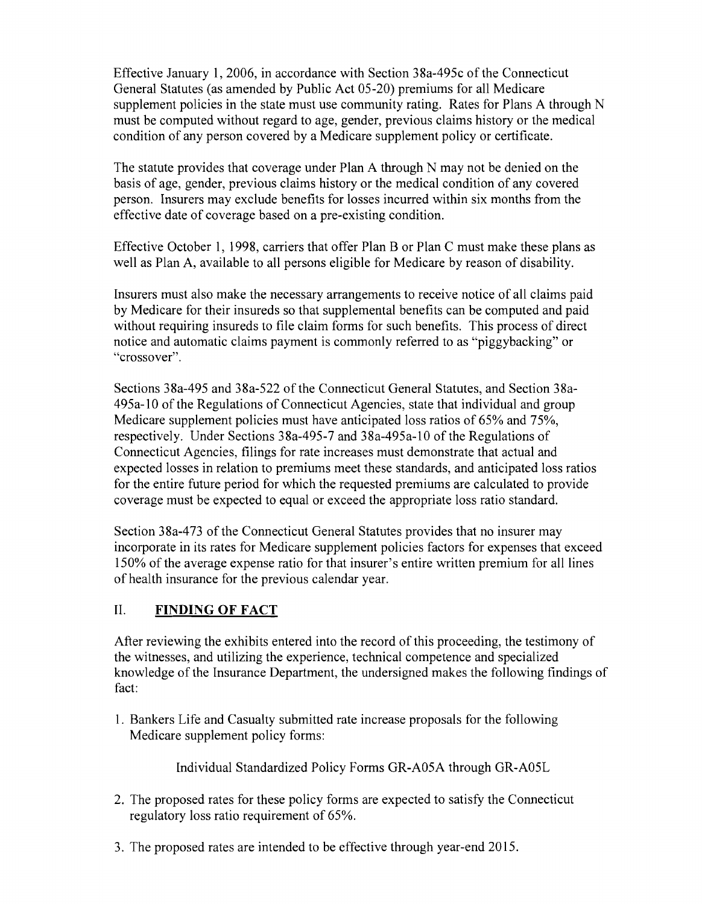Effective January 1,2006, in accordance with Section 38a-495c of the Connecticut General Statutes (as amended by Public Act 05-20) premiums for all Medicare supplement policies in the state must use community rating. Rates for Plans A through N must be computed without regard to age, gender, previous claims history or the medical condition of any person covered by a Medicare supplement policy or certificate.

The statute provides that coverage under Plan A through N may not be denied on the basis of age, gender, previous claims history or the medical condition of any covered person. Insurers may exclude benefits for losses incurred within six months from the effective date of coverage based on a pre-existing condition.

Effective October 1, 1998, carriers that offer Plan B or Plan C must make these plans as well as Plan A, available to all persons eligible for Medicare by reason of disability.

Insurers must also make the necessary arrangements to receive notice of all claims paid by Medicare for their insureds so that supplemental benefits can be computed and paid without requiring insureds to file claim forms for such benefits. This process of direct notice and automatic claims payment is commonly referred to as "piggybacking" or "crossover".

Sections 38a-495 and 38a-522 of the Connecticut General Statutes, and Section 38a-495a-1O of the Regulations of Connecticut Agencies, state that individual and group Medicare supplement policies must have anticipated loss ratios of 65% and 75%, respectively. Under Sections 38a-495-7 and 38a-495a-lO of the Regulations of Connecticut Agencies, filings for rate increases must demonstrate that actual and expected losses in relation to premiums meet these standards, and anticipated loss ratios for the entire future period for which the requested premiums are calculated to provide coverage must be expected to equal or exceed the appropriate loss ratio standard.

Section 38a-473 of the Connecticut General Statutes provides that no insurer may incorporate in its rates for Medicare supplement policies factors for expenses that exceed 150% of the average expense ratio for that insurer's entire written premium for all lines of health insurance for the previous calendar year.

## II. **FINDING OF FACT**

After reviewing the exhibits entered into the record of this proceeding, the testimony of the witnesses, and utilizing the experience, technical competence and specialized knowledge of the Insurance Department, the undersigned makes the following findings of fact:

1. Bankers Life and Casualty submitted rate increase proposals for the following Medicare supplement policy forms:

Individual Standardized Policy Forms GR-A05A through GR-A05L

- 2. The proposed rates for these policy forms are expected to satisfy the Connecticut regulatory loss ratio requirement of 65%.
- 3. The proposed rates are intended to be effective through year-end 2015.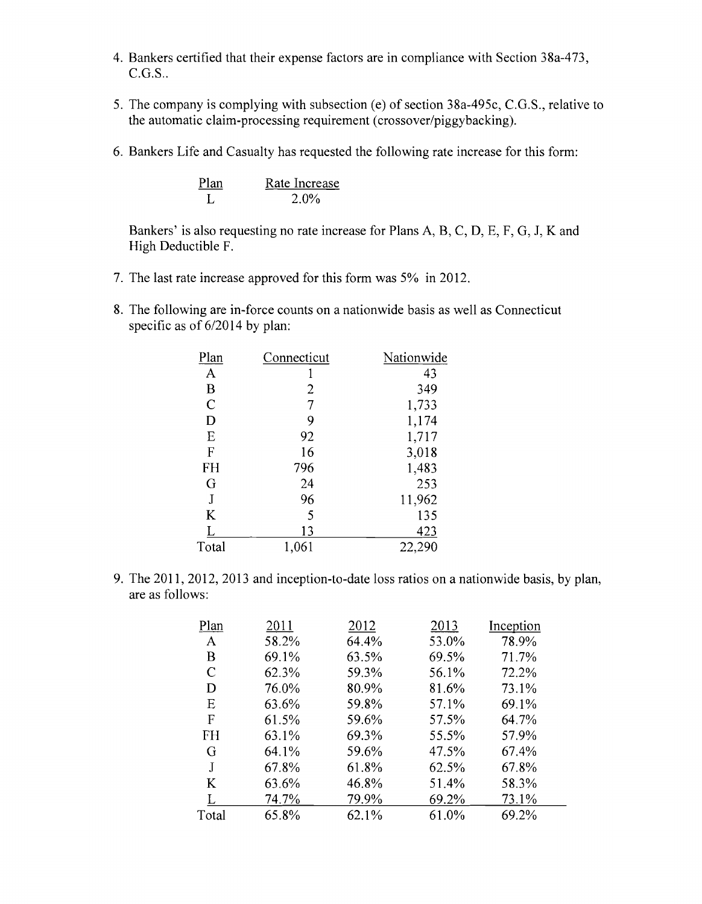- 4. Bankers certified that their expense factors are in compliance with Section 38a-473,  $C.G.S.$ .
- 5. The company is complying with subsection (e) of section 38a-495c, C.G.S., relative to the automatic claim-processing requirement (crossover/piggybacking).
- 6. Bankers Life and Casualty has requested the following rate increase for this form:

Plan Rate Increase L 2.0%

Bankers' is also requesting no rate increase for Plans A, B, C, D, E, F, G, J, K and High Deductible F.

- 7. The last rate increase approved for this form was 5% in 2012.
- 8. The following are in-force counts on a nationwide basis as well as Connecticut specific as of  $6/2014$  by plan:

| Plan           | Connecticut | Nationwide |
|----------------|-------------|------------|
| $\mathbf{A}$   |             | 43         |
| $\bf{B}$       | 2           | 349        |
| $\overline{C}$ | 7           | 1,733      |
| D              | 9           | 1,174      |
| E              | 92          | 1,717      |
| F              | 16          | 3,018      |
| FH             | 796         | 1,483      |
| G              | 24          | 253        |
| J              | 96          | 11,962     |
| K              | 5           | 135        |
|                | 13          | 423        |
| Total          | 1,061       | 22,290     |
|                |             |            |

9. The 2011, 2012, 2013 and inception-to-date loss ratios on a nationwide basis, by plan, are as follows:

| Plan  | 2011  | 2012  | 2013  | Inception |
|-------|-------|-------|-------|-----------|
| A     | 58.2% | 64.4% | 53.0% | 78.9%     |
| B     | 69.1% | 63.5% | 69.5% | 71.7%     |
| C     | 62.3% | 59.3% | 56.1% | 72.2%     |
| D     | 76.0% | 80.9% | 81.6% | 73.1%     |
| Ε     | 63.6% | 59.8% | 57.1% | 69.1%     |
| F     | 61.5% | 59.6% | 57.5% | 64.7%     |
| FH    | 63.1% | 69.3% | 55.5% | 57.9%     |
| G     | 64.1% | 59.6% | 47.5% | 67.4%     |
| J.    | 67.8% | 61.8% | 62.5% | 67.8%     |
| K     | 63.6% | 46.8% | 51.4% | 58.3%     |
|       | 74.7% | 79.9% | 69.2% | 73.1%     |
| Total | 65.8% | 62.1% | 61.0% | 69.2%     |